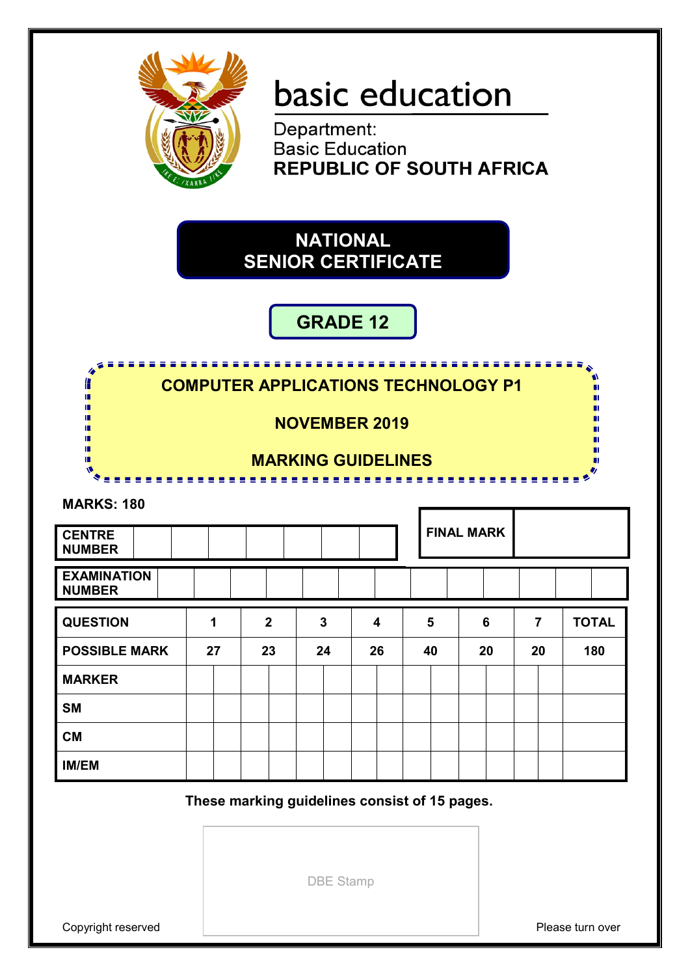

# basic education

Department: **Basic Education REPUBLIC OF SOUTH AFRICA** 

# **NATIONAL SENIOR CERTIFICATE**

# **GRADE 12**

|                                     | <b>COMPUTER APPLICATIONS TECHNOLOGY P1</b> |                |                           |                         |    |                   |                |              |
|-------------------------------------|--------------------------------------------|----------------|---------------------------|-------------------------|----|-------------------|----------------|--------------|
|                                     |                                            |                | <b>NOVEMBER 2019</b>      |                         |    |                   |                |              |
|                                     |                                            |                | <b>MARKING GUIDELINES</b> |                         |    |                   |                |              |
| <b>MARKS: 180</b>                   |                                            |                |                           |                         |    |                   |                |              |
| <b>CENTRE</b><br><b>NUMBER</b>      |                                            |                |                           |                         |    | <b>FINAL MARK</b> |                |              |
| <b>EXAMINATION</b><br><b>NUMBER</b> |                                            |                |                           |                         |    |                   |                |              |
| <b>QUESTION</b>                     | 1                                          | $\overline{2}$ | 3                         | $\overline{\mathbf{4}}$ | 5  | 6                 | $\overline{7}$ | <b>TOTAL</b> |
| <b>POSSIBLE MARK</b>                | 27                                         | 23             | 24                        | 26                      | 40 | 20                | 20             | 180          |
| <b>MARKER</b>                       |                                            |                |                           |                         |    |                   |                |              |
| <b>SM</b>                           |                                            |                |                           |                         |    |                   |                |              |
| <b>CM</b>                           |                                            |                |                           |                         |    |                   |                |              |
| <b>IM/EM</b>                        |                                            |                |                           |                         |    |                   |                |              |

**These marking guidelines consist of 15 pages.**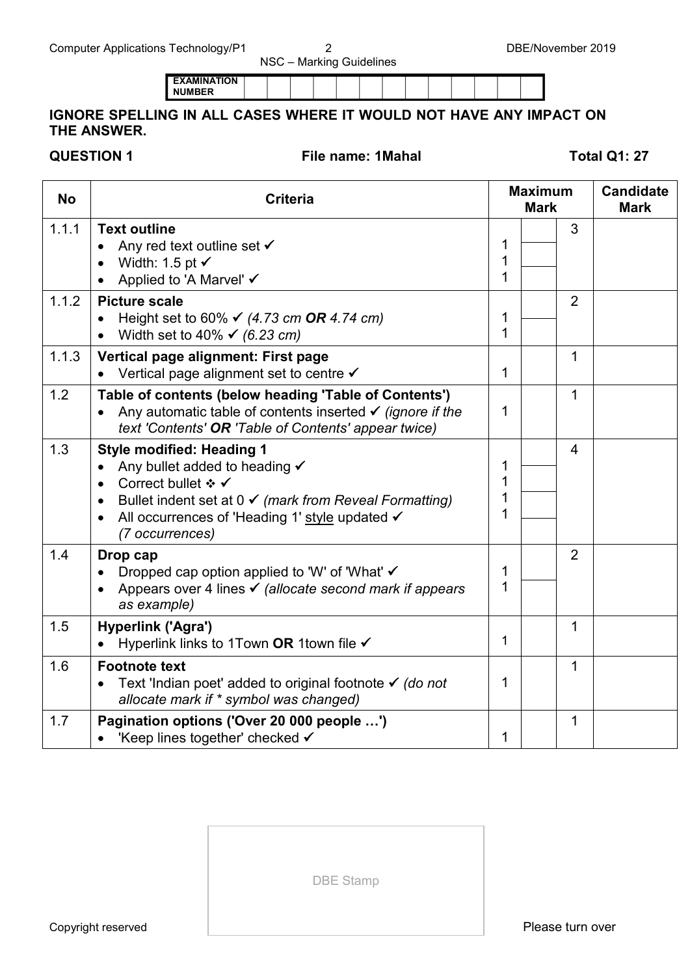**EXAMINATION NUMBER**

## **IGNORE SPELLING IN ALL CASES WHERE IT WOULD NOT HAVE ANY IMPACT ON THE ANSWER.**

**QUESTION 1 File name: 1Mahal Total Q1: 27**

| <b>No</b> | <b>Criteria</b>                                                                                                                                                                                                                                             |                  | <b>Maximum</b><br><b>Mark</b> |                | <b>Candidate</b><br><b>Mark</b> |
|-----------|-------------------------------------------------------------------------------------------------------------------------------------------------------------------------------------------------------------------------------------------------------------|------------------|-------------------------------|----------------|---------------------------------|
| 1.1.1     | <b>Text outline</b><br>Any red text outline set √<br>Width: 1.5 pt $\checkmark$<br>Applied to 'A Marvel' ✔                                                                                                                                                  | 1<br>1<br>1      |                               | 3              |                                 |
| 1.1.2     | <b>Picture scale</b><br>Height set to 60% $\checkmark$ (4.73 cm OR 4.74 cm)<br>Width set to 40% $\checkmark$ (6.23 cm)<br>$\bullet$                                                                                                                         | 1<br>1           |                               | $\overline{2}$ |                                 |
| 1.1.3     | Vertical page alignment: First page<br>Vertical page alignment set to centre <del>V</del>                                                                                                                                                                   | 1                |                               | 1              |                                 |
| 1.2       | Table of contents (below heading 'Table of Contents')<br>Any automatic table of contents inserted $\checkmark$ (ignore if the<br>text 'Contents' OR 'Table of Contents' appear twice)                                                                       | 1                |                               | 1              |                                 |
| 1.3       | <b>Style modified: Heading 1</b><br>Any bullet added to heading √<br>Correct bullet ❖ ✔<br>$\bullet$<br>Bullet indent set at $0 \checkmark$ (mark from Reveal Formatting)<br>All occurrences of 'Heading 1' style updated √<br>$\bullet$<br>(7 occurrences) | 1<br>1<br>1<br>1 |                               | $\overline{4}$ |                                 |
| 1.4       | Drop cap<br>Dropped cap option applied to 'W' of 'What' √<br>Appears over 4 lines <del>V</del> (allocate second mark if appears<br>as example)                                                                                                              | 1<br>1           |                               | 2              |                                 |
| 1.5       | Hyperlink ('Agra')<br>Hyperlink links to 1Town OR 1town file √                                                                                                                                                                                              | $\mathbf{1}$     |                               | 1              |                                 |
| 1.6       | <b>Footnote text</b><br>Text 'Indian poet' added to original footnote $\checkmark$ (do not<br>$\bullet$<br>allocate mark if * symbol was changed)                                                                                                           | 1                |                               | 1              |                                 |
| 1.7       | Pagination options ('Over 20 000 people ')<br>• 'Keep lines together' checked V                                                                                                                                                                             | 1                |                               | $\mathbf{1}$   |                                 |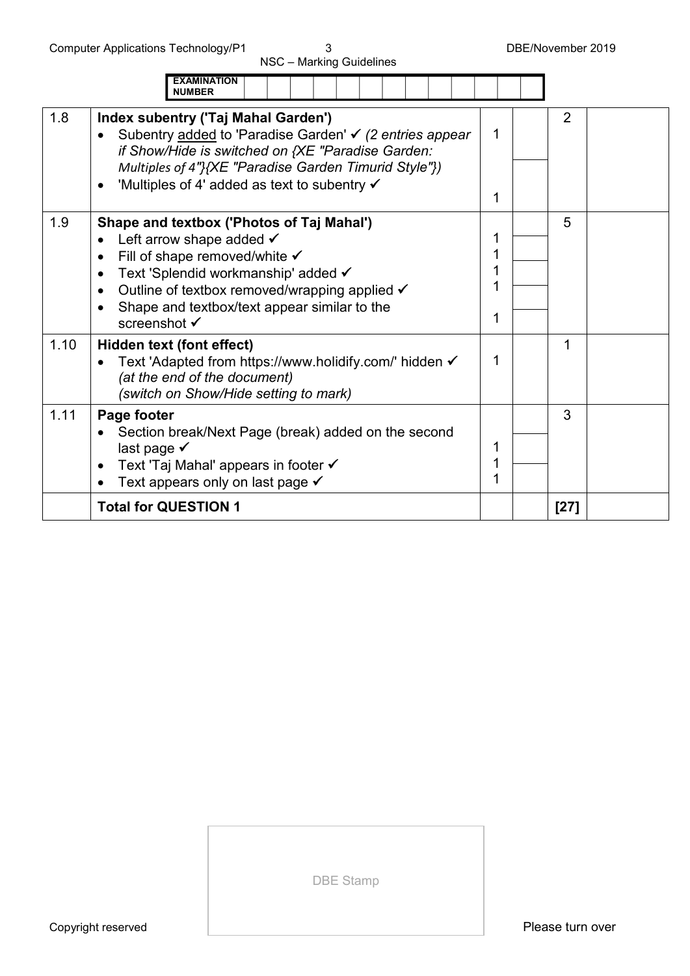|      | <b>EXAMINATION</b><br><b>NUMBER</b>                                                                                                                                                                                                                                                                            |                       |        |  |
|------|----------------------------------------------------------------------------------------------------------------------------------------------------------------------------------------------------------------------------------------------------------------------------------------------------------------|-----------------------|--------|--|
| 1.8  | Index subentry ('Taj Mahal Garden')<br>Subentry added to 'Paradise Garden' v (2 entries appear<br>if Show/Hide is switched on {XE "Paradise Garden:<br>Multiples of 4"}{XE "Paradise Garden Timurid Style"})<br>'Multiples of 4' added as text to subentry √                                                   | 1<br>1                | 2      |  |
| 1.9  | Shape and textbox ('Photos of Taj Mahal')<br>Left arrow shape added $\checkmark$<br>Fill of shape removed/white $\checkmark$<br>Text 'Splendid workmanship' added √<br>$\bullet$<br>Outline of textbox removed/wrapping applied √<br>$\bullet$<br>Shape and textbox/text appear similar to the<br>screenshot √ | 1<br>1<br>1<br>1<br>1 | 5      |  |
| 1.10 | Hidden text (font effect)<br>Text 'Adapted from https://www.holidify.com/' hidden √<br>(at the end of the document)<br>(switch on Show/Hide setting to mark)                                                                                                                                                   | 1                     | 1      |  |
| 1.11 | Page footer<br>Section break/Next Page (break) added on the second<br>last page $\checkmark$<br>Text 'Taj Mahal' appears in footer ✔<br>$\bullet$<br>Text appears only on last page $\checkmark$                                                                                                               | 1<br>1<br>1           | 3      |  |
|      | <b>Total for QUESTION 1</b>                                                                                                                                                                                                                                                                                    |                       | $[27]$ |  |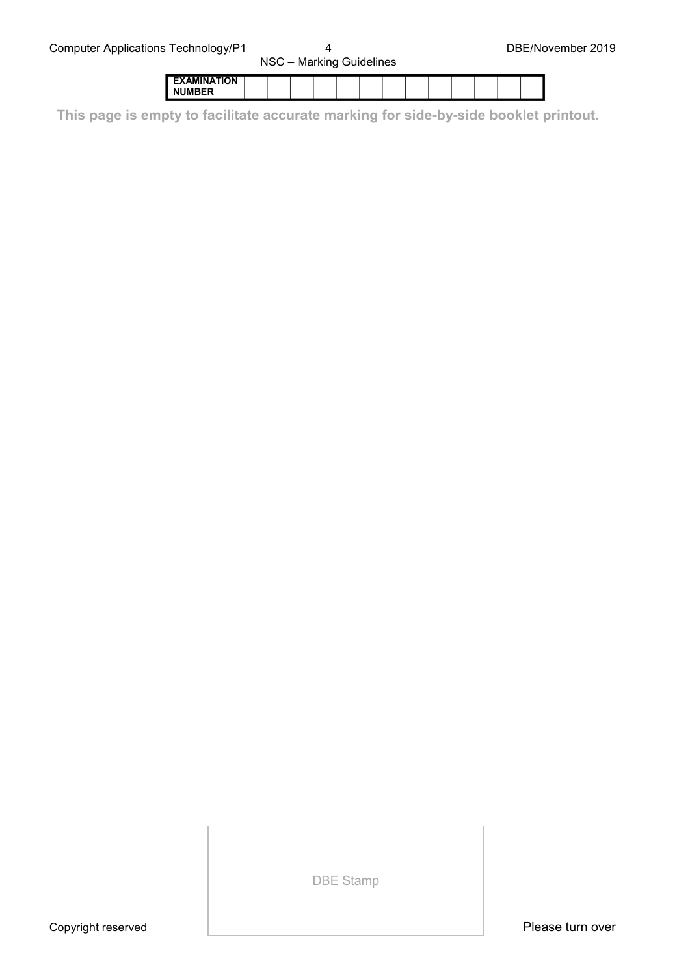|                    | . |  |  |  |  |  |  |
|--------------------|---|--|--|--|--|--|--|
| <b>EXAMINATION</b> |   |  |  |  |  |  |  |
| <b>NUMBER</b>      |   |  |  |  |  |  |  |

**This page is empty to facilitate accurate marking for side-by-side booklet printout.**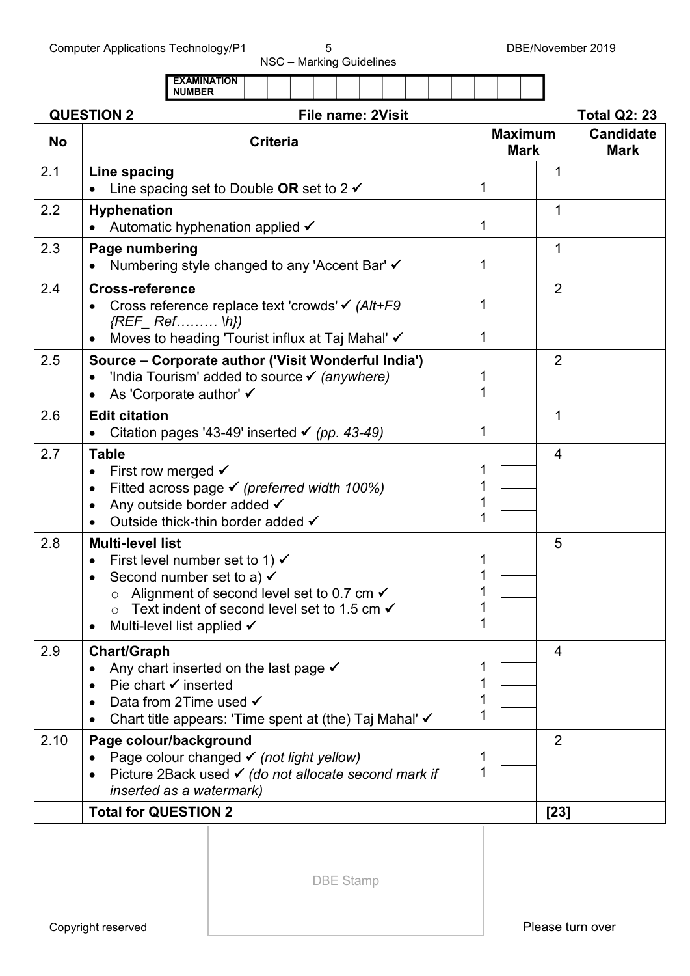Computer Applications Technology/P1 5 5 5 DBE/November 2019

NSC – Marking Guidelines

|           |                                                                                                                                                                                                                                                                                                                                | <b>EXAMINATION</b><br><b>NUMBER</b>                                                                                                        |                 |  |  |  |                          |  |  |             |                               |                |                                 |
|-----------|--------------------------------------------------------------------------------------------------------------------------------------------------------------------------------------------------------------------------------------------------------------------------------------------------------------------------------|--------------------------------------------------------------------------------------------------------------------------------------------|-----------------|--|--|--|--------------------------|--|--|-------------|-------------------------------|----------------|---------------------------------|
|           | <b>QUESTION 2</b>                                                                                                                                                                                                                                                                                                              |                                                                                                                                            |                 |  |  |  | <b>File name: 2Visit</b> |  |  |             |                               |                | <b>Total Q2: 23</b>             |
| <b>No</b> |                                                                                                                                                                                                                                                                                                                                |                                                                                                                                            | <b>Criteria</b> |  |  |  |                          |  |  |             | <b>Maximum</b><br><b>Mark</b> |                | <b>Candidate</b><br><b>Mark</b> |
| 2.1       | Line spacing                                                                                                                                                                                                                                                                                                                   | Line spacing set to Double OR set to 2 $\checkmark$                                                                                        |                 |  |  |  |                          |  |  | 1           |                               | 1              |                                 |
| 2.2       | <b>Hyphenation</b>                                                                                                                                                                                                                                                                                                             | Automatic hyphenation applied $\checkmark$                                                                                                 |                 |  |  |  |                          |  |  | 1           |                               | 1              |                                 |
| 2.3       | Page numbering<br>Numbering style changed to any 'Accent Bar' ✓                                                                                                                                                                                                                                                                |                                                                                                                                            |                 |  |  |  |                          |  |  | 1           |                               | 1              |                                 |
| 2.4       | <b>Cross-reference</b><br>$\bullet$                                                                                                                                                                                                                                                                                            | Cross reference replace text 'crowds' $\checkmark$ (Alt+F9)<br>$\{REF \quad Ref.$ \h})<br>Moves to heading 'Tourist influx at Taj Mahal' √ |                 |  |  |  |                          |  |  | 1<br>1      |                               | $\overline{2}$ |                                 |
| 2.5       | $\bullet$                                                                                                                                                                                                                                                                                                                      | Source - Corporate author ('Visit Wonderful India')<br>'India Tourism' added to source v (anywhere)<br>As 'Corporate author' ✔             |                 |  |  |  |                          |  |  | 1<br>1      |                               | $\overline{2}$ |                                 |
| 2.6       | <b>Edit citation</b><br>Citation pages '43-49' inserted $\checkmark$ (pp. 43-49)                                                                                                                                                                                                                                               |                                                                                                                                            |                 |  |  |  |                          |  |  | 1           |                               | 1              |                                 |
| 2.7       | <b>Table</b><br>$\bullet$                                                                                                                                                                                                                                                                                                      | First row merged $\checkmark$<br>Fitted across page $\checkmark$ (preferred width 100%)<br>Any outside border added √                      |                 |  |  |  |                          |  |  | 1<br>1      |                               | $\overline{4}$ |                                 |
| 2.8       | Outside thick-thin border added √<br><b>Multi-level list</b><br>First level number set to 1) $\checkmark$<br>Second number set to a) $\checkmark$<br>o Alignment of second level set to 0.7 cm $\checkmark$<br>Text indent of second level set to 1.5 cm $\checkmark$<br>$\circ$<br>Multi-level list applied $\checkmark$<br>٠ |                                                                                                                                            |                 |  |  |  |                          |  |  | 1           |                               | 5              |                                 |
| 2.9       | <b>Chart/Graph</b><br>Any chart inserted on the last page $\checkmark$<br>Pie chart $\checkmark$ inserted<br>Data from 2Time used √<br>Chart title appears: 'Time spent at (the) Taj Mahal' $\checkmark$                                                                                                                       |                                                                                                                                            |                 |  |  |  |                          |  |  | 1<br>1<br>1 |                               | 4              |                                 |
| 2.10      | Page colour/background<br>Page colour changed $\checkmark$ (not light yellow)<br>Picture 2Back used √ (do not allocate second mark if<br>inserted as a watermark)                                                                                                                                                              |                                                                                                                                            |                 |  |  |  |                          |  |  | 1<br>1      |                               | $\overline{2}$ |                                 |
|           | <b>Total for QUESTION 2</b>                                                                                                                                                                                                                                                                                                    |                                                                                                                                            |                 |  |  |  |                          |  |  |             |                               | $[23]$         |                                 |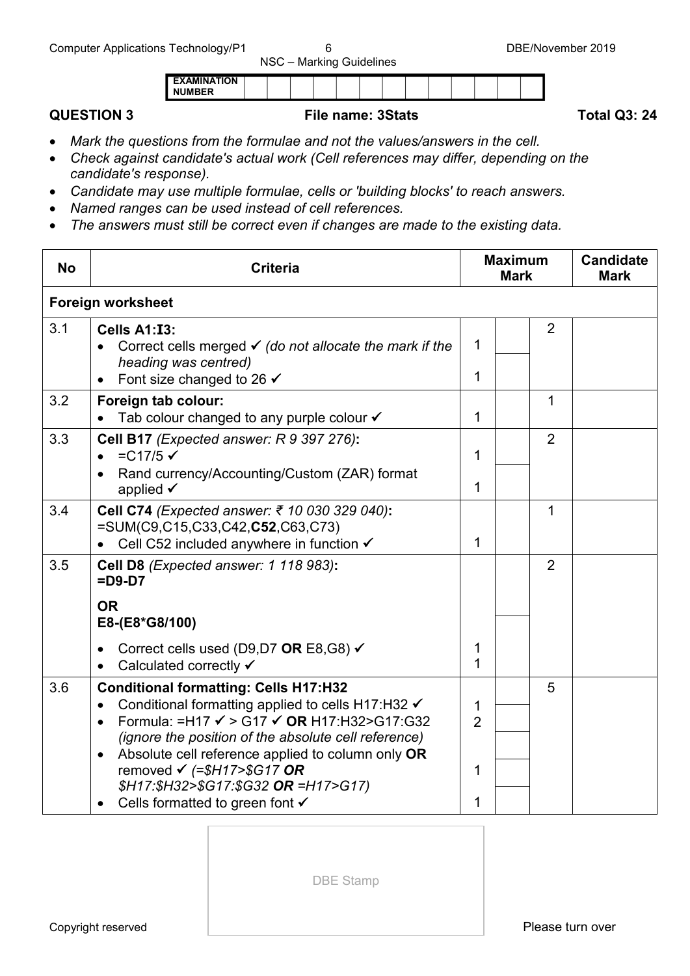## **QUESTION 3 File name: 3Stats Total Q3: 24**

- *Mark the questions from the formulae and not the values/answers in the cell.*
- *Check against candidate's actual work (Cell references may differ, depending on the candidate's response).*
- *Candidate may use multiple formulae, cells or 'building blocks' to reach answers.*
- *Named ranges can be used instead of cell references.*

**EXAMINATION NUMBER**

• *The answers must still be correct even if changes are made to the existing data.*

| <b>Criteria</b>                                                                                                                                                                                                                                                                                                                                                                                      |                                                                                     | <b>Maximum</b> | <b>Candidate</b><br><b>Mark</b> |             |
|------------------------------------------------------------------------------------------------------------------------------------------------------------------------------------------------------------------------------------------------------------------------------------------------------------------------------------------------------------------------------------------------------|-------------------------------------------------------------------------------------|----------------|---------------------------------|-------------|
|                                                                                                                                                                                                                                                                                                                                                                                                      |                                                                                     |                |                                 |             |
| Cells A1:I3:<br>Correct cells merged $\checkmark$ (do not allocate the mark if the<br>heading was centred)<br>Font size changed to 26 $\checkmark$                                                                                                                                                                                                                                                   | 1<br>1                                                                              |                | $\overline{2}$                  |             |
| Foreign tab colour:<br>Tab colour changed to any purple colour $\checkmark$                                                                                                                                                                                                                                                                                                                          | 1                                                                                   |                | 1                               |             |
| Cell B17 (Expected answer: R 9 397 276):<br>$=C17/5$ $\checkmark$<br>Rand currency/Accounting/Custom (ZAR) format<br>applied $\checkmark$                                                                                                                                                                                                                                                            | 1<br>1                                                                              |                | $\overline{2}$                  |             |
| Cell C74 (Expected answer: ₹ 10 030 329 040):<br>=SUM(C9,C15,C33,C42,C52,C63,C73)<br>Cell C52 included anywhere in function √                                                                                                                                                                                                                                                                        | 1                                                                                   |                | 1                               |             |
| Cell D8 (Expected answer: 1 118 983):<br>$=$ D9-D7<br><b>OR</b><br>E8-(E8*G8/100)                                                                                                                                                                                                                                                                                                                    |                                                                                     |                | $\overline{2}$                  |             |
| Correct cells used (D9,D7 OR E8,G8) $\checkmark$<br>Calculated correctly √                                                                                                                                                                                                                                                                                                                           | 1<br>1                                                                              |                |                                 |             |
| <b>Conditional formatting: Cells H17:H32</b><br>Conditional formatting applied to cells H17:H32 √<br>$\bullet$<br>Formula: =H17 $\checkmark$ > G17 $\checkmark$ OR H17:H32>G17:G32<br>$\bullet$<br><i>(ignore the position of the absolute cell reference)</i><br>Absolute cell reference applied to column only OR<br>removed $\checkmark$ (=\$H17>\$G17 OR<br>\$H17:\$H32>\$G17:\$G32 OR =H17>G17) | 1<br>$\overline{2}$<br>1                                                            |                | 5                               |             |
|                                                                                                                                                                                                                                                                                                                                                                                                      | <b>Foreign worksheet</b><br>Cells formatted to green font <del>V</del><br>$\bullet$ | 1              |                                 | <b>Mark</b> |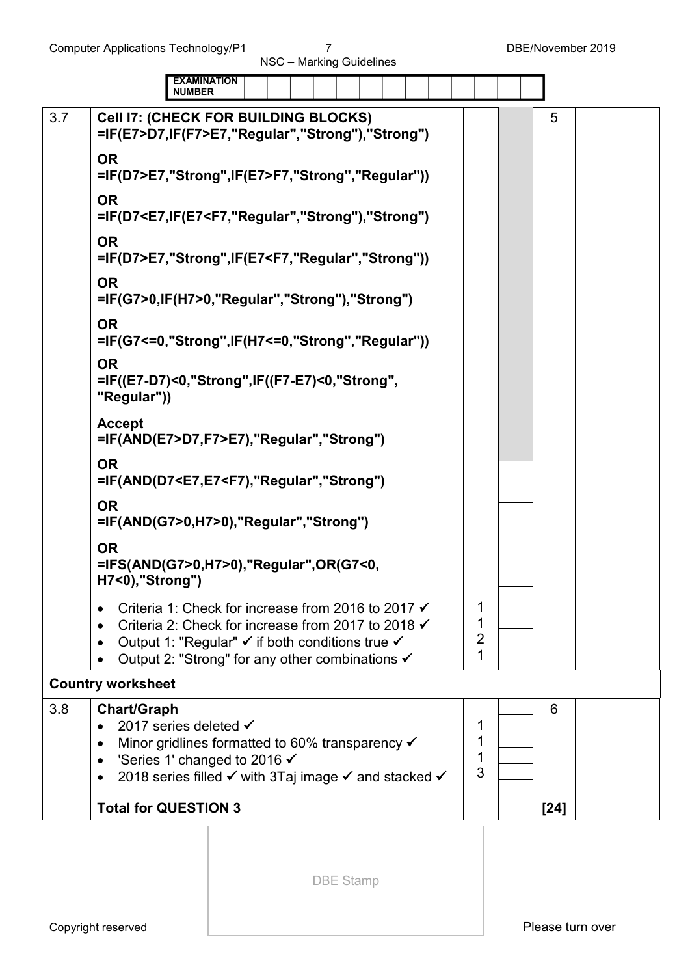|     | <b>EXAMINATION</b><br><b>NUMBER</b>                                                                                                                                                                                                                          |                               |        |
|-----|--------------------------------------------------------------------------------------------------------------------------------------------------------------------------------------------------------------------------------------------------------------|-------------------------------|--------|
| 3.7 | <b>Cell I7: (CHECK FOR BUILDING BLOCKS)</b><br>=IF(E7>D7,IF(F7>E7,"Regular","Strong"),"Strong")                                                                                                                                                              |                               | 5      |
|     | <b>OR</b><br>=IF(D7>E7,"Strong",IF(E7>F7,"Strong","Regular"))                                                                                                                                                                                                |                               |        |
|     | <b>OR</b><br>=IF(D7 <e7,if(e7<f7,"regular","strong"),"strong")< td=""><td></td><td></td></e7,if(e7<f7,"regular","strong"),"strong")<>                                                                                                                        |                               |        |
|     | <b>OR</b><br>=IF(D7>E7,"Strong",IF(E7 <f7,"regular","strong"))< td=""><td></td><td></td></f7,"regular","strong"))<>                                                                                                                                          |                               |        |
|     | <b>OR</b><br>=IF(G7>0,IF(H7>0,"Regular","Strong"),"Strong")                                                                                                                                                                                                  |                               |        |
|     | <b>OR</b><br>=IF(G7<=0,"Strong",IF(H7<=0,"Strong","Regular"))                                                                                                                                                                                                |                               |        |
|     | <b>OR</b><br>=IF((E7-D7)<0,"Strong",IF((F7-E7)<0,"Strong",<br>"Regular"))                                                                                                                                                                                    |                               |        |
|     | <b>Accept</b><br>=IF(AND(E7>D7,F7>E7),"Regular","Strong")                                                                                                                                                                                                    |                               |        |
|     | <b>OR</b><br>=IF(AND(D7 <e7,e7<f7),"regular","strong")< td=""><td></td><td></td></e7,e7<f7),"regular","strong")<>                                                                                                                                            |                               |        |
|     | <b>OR</b><br>=IF(AND(G7>0,H7>0),"Regular","Strong")                                                                                                                                                                                                          |                               |        |
|     | <b>OR</b><br>=IFS(AND(G7>0,H7>0),"Regular",OR(G7<0,<br>H7<0),"Strong")                                                                                                                                                                                       |                               |        |
|     | Criteria 1: Check for increase from 2016 to 2017 √<br>Criteria 2: Check for increase from 2017 to 2018 $\checkmark$<br>Output 1: "Regular" $\checkmark$ if both conditions true $\checkmark$<br>$\bullet$<br>Output 2: "Strong" for any other combinations ✔ | 1<br>1<br>$\overline{2}$<br>1 |        |
|     | <b>Country worksheet</b>                                                                                                                                                                                                                                     |                               |        |
| 3.8 | <b>Chart/Graph</b><br>2017 series deleted √<br>$\bullet$<br>Minor gridlines formatted to 60% transparency $\checkmark$<br>$\bullet$<br>'Series 1' changed to 2016 √<br>$\bullet$<br>2018 series filled V with 3Taj image V and stacked V                     | 1<br>1<br>1<br>3              | 6      |
|     | <b>Total for QUESTION 3</b>                                                                                                                                                                                                                                  |                               | $[24]$ |
|     |                                                                                                                                                                                                                                                              |                               |        |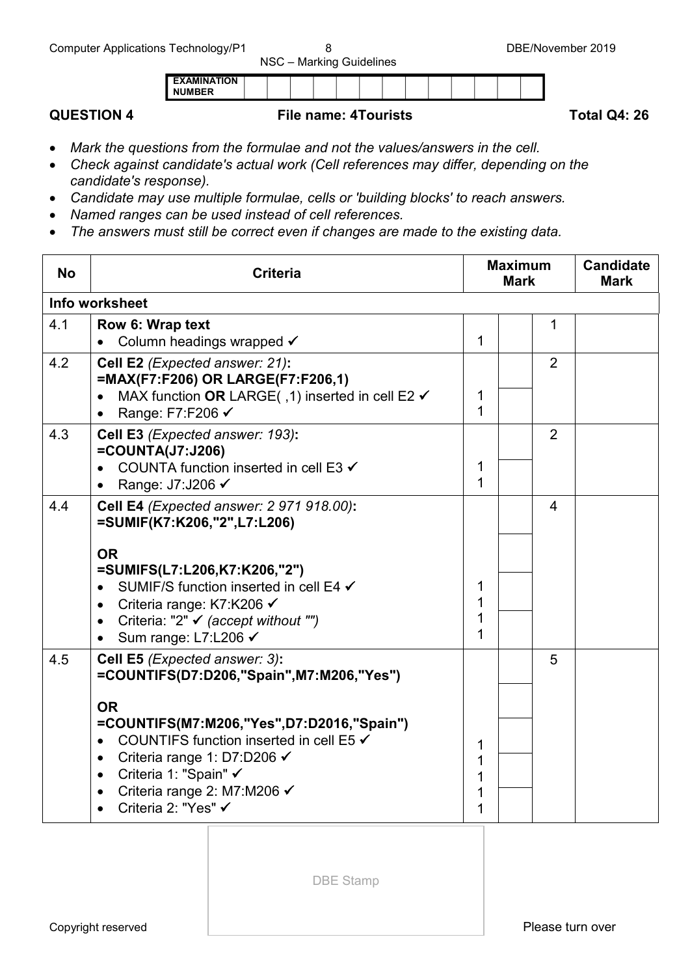| <b>EXAMINATION</b> |  |  |  |  |  |  |  |
|--------------------|--|--|--|--|--|--|--|
| <b>NUMBER</b>      |  |  |  |  |  |  |  |
|                    |  |  |  |  |  |  |  |

## **QUESTION 4 File name: 4Tourists** Total Q4: 26

- *Mark the questions from the formulae and not the values/answers in the cell.*
- *Check against candidate's actual work (Cell references may differ, depending on the candidate's response).*
- *Candidate may use multiple formulae, cells or 'building blocks' to reach answers.*
- *Named ranges can be used instead of cell references.*
- *The answers must still be correct even if changes are made to the existing data.*

| <b>No</b> | <b>Criteria</b>                                                                                                                                                                                                                                                                                                                     | <b>Maximum</b><br><b>Mark</b> |  |                | <b>Candidate</b><br><b>Mark</b> |
|-----------|-------------------------------------------------------------------------------------------------------------------------------------------------------------------------------------------------------------------------------------------------------------------------------------------------------------------------------------|-------------------------------|--|----------------|---------------------------------|
|           | Info worksheet                                                                                                                                                                                                                                                                                                                      |                               |  |                |                                 |
| 4.1       | Row 6: Wrap text<br>Column headings wrapped √                                                                                                                                                                                                                                                                                       | 1                             |  | 1              |                                 |
| 4.2       | Cell E2 (Expected answer: 21):<br>=MAX(F7:F206) OR LARGE(F7:F206,1)<br>MAX function OR LARGE(, 1) inserted in cell E2 √<br>$\bullet$<br>Range: F7:F206 √                                                                                                                                                                            | 1<br>1                        |  | $\overline{2}$ |                                 |
| 4.3       | Cell E3 (Expected answer: 193):<br>$=$ COUNTA(J7:J206)<br>COUNTA function inserted in cell E3 $\checkmark$<br>Range: J7:J206 √<br>$\bullet$                                                                                                                                                                                         | 1<br>1                        |  | $\overline{2}$ |                                 |
| 4.4       | Cell E4 (Expected answer: 2 971 918.00):<br>=SUMIF(K7:K206,"2",L7:L206)<br><b>OR</b><br>=SUMIFS(L7:L206,K7:K206,"2")<br>SUMIF/S function inserted in cell E4 √<br>Criteria range: K7:K206 √<br>$\bullet$<br>Criteria: "2" $\checkmark$ (accept without "")<br>$\bullet$<br>Sum range: L7:L206 <del>V</del><br>$\bullet$             | 1<br>1<br>1<br>1              |  | $\overline{4}$ |                                 |
| 4.5       | Cell E5 (Expected answer: 3):<br>=COUNTIFS(D7:D206,"Spain",M7:M206,"Yes")<br><b>OR</b><br>=COUNTIFS(M7:M206,"Yes",D7:D2016,"Spain")<br>COUNTIFS function inserted in cell E5 √<br>Criteria range 1: D7:D206 ✔<br>$\bullet$<br>Criteria 1: "Spain" √<br>$\bullet$<br>Criteria range 2: M7:M206 ✔<br>Criteria 2: "Yes" ✔<br>$\bullet$ | 1<br>1<br>1<br>1<br>1         |  | 5              |                                 |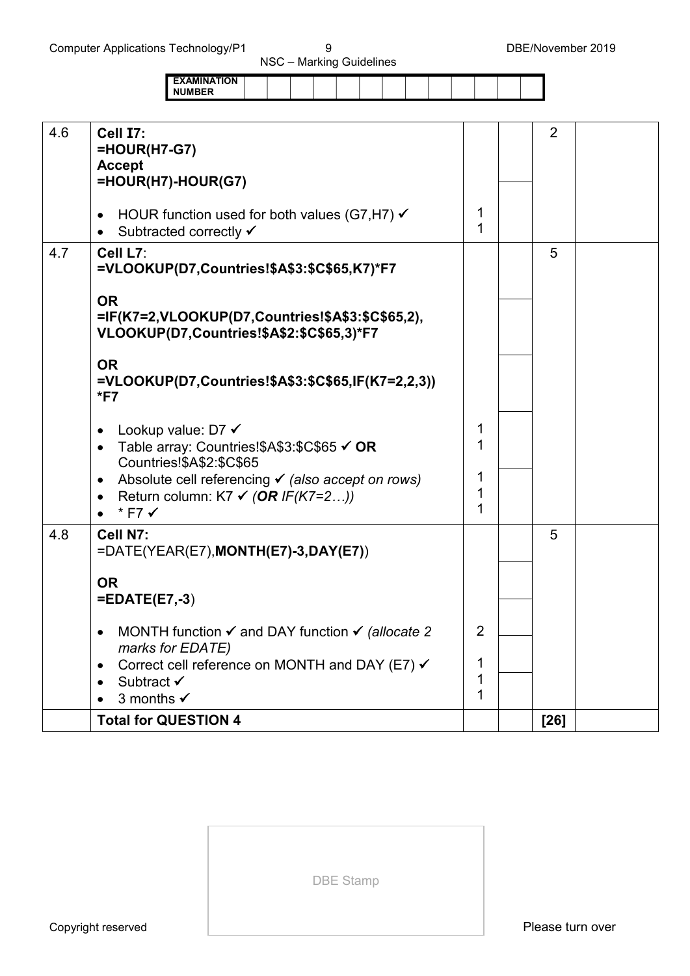|                    |  | - |  |  |  |  |  |
|--------------------|--|---|--|--|--|--|--|
| <b>EXAMINATION</b> |  |   |  |  |  |  |  |
| <b>NUMBER</b>      |  |   |  |  |  |  |  |

| 4.6 | Cell I7:<br>$=$ HOUR(H7-G7)                                           |   | $\overline{2}$ |  |
|-----|-----------------------------------------------------------------------|---|----------------|--|
|     | <b>Accept</b>                                                         |   |                |  |
|     | =HOUR(H7)-HOUR(G7)                                                    |   |                |  |
|     |                                                                       |   |                |  |
|     | HOUR function used for both values (G7, H7) $\checkmark$              | 1 |                |  |
|     |                                                                       | 1 |                |  |
|     | Subtracted correctly ✔<br>$\bullet$                                   |   |                |  |
| 4.7 | Cell L7:                                                              |   | 5              |  |
|     | =VLOOKUP(D7,Countries!\$A\$3:\$C\$65,K7)*F7                           |   |                |  |
|     |                                                                       |   |                |  |
|     | <b>OR</b>                                                             |   |                |  |
|     | =IF(K7=2,VLOOKUP(D7,Countries!\$A\$3:\$C\$65,2),                      |   |                |  |
|     | VLOOKUP(D7,Countries!\$A\$2:\$C\$65,3)*F7                             |   |                |  |
|     |                                                                       |   |                |  |
|     | <b>OR</b>                                                             |   |                |  |
|     | =VLOOKUP(D7,Countries!\$A\$3:\$C\$65,IF(K7=2,2,3))                    |   |                |  |
|     | $*$ F7                                                                |   |                |  |
|     |                                                                       |   |                |  |
|     | Lookup value: D7 √                                                    | 1 |                |  |
|     |                                                                       | 1 |                |  |
|     | Table array: Countries!\$A\$3:\$C\$65 √ OR                            |   |                |  |
|     | Countries!\$A\$2:\$C\$65                                              | 1 |                |  |
|     | Absolute cell referencing $\checkmark$ (also accept on rows)          | 1 |                |  |
|     | Return column: K7 $\checkmark$ (OR IF(K7=2))<br>$\bullet$             |   |                |  |
|     | * F7 √                                                                | 1 |                |  |
| 4.8 | Cell N7:                                                              |   | 5              |  |
|     | $=$ DATE(YEAR(E7),MONTH(E7)-3,DAY(E7))                                |   |                |  |
|     |                                                                       |   |                |  |
|     | <b>OR</b>                                                             |   |                |  |
|     | $=EDATE(E7,-3)$                                                       |   |                |  |
|     |                                                                       |   |                |  |
|     |                                                                       | 2 |                |  |
|     | MONTH function $\checkmark$ and DAY function $\checkmark$ (allocate 2 |   |                |  |
|     | marks for EDATE)                                                      |   |                |  |
|     | Correct cell reference on MONTH and DAY (E7) √                        | 1 |                |  |
|     | Subtract <del>✓</del>                                                 | 1 |                |  |
|     | 3 months $\checkmark$                                                 | 1 |                |  |
|     | <b>Total for QUESTION 4</b>                                           |   | $[26]$         |  |
|     |                                                                       |   |                |  |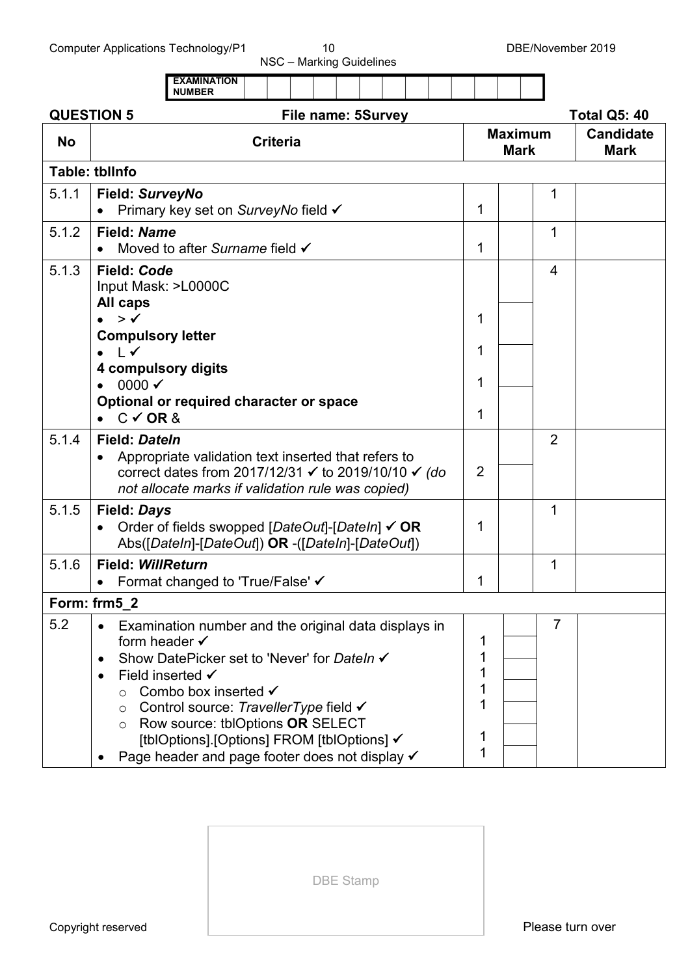| <b>NUMBER</b>                                                                                              |                                                                              |                                                                                                                                                                                                                                                                                                                                                                                                                                                                                                                                                                                                        |        |                |                                 |
|------------------------------------------------------------------------------------------------------------|------------------------------------------------------------------------------|--------------------------------------------------------------------------------------------------------------------------------------------------------------------------------------------------------------------------------------------------------------------------------------------------------------------------------------------------------------------------------------------------------------------------------------------------------------------------------------------------------------------------------------------------------------------------------------------------------|--------|----------------|---------------------------------|
|                                                                                                            |                                                                              |                                                                                                                                                                                                                                                                                                                                                                                                                                                                                                                                                                                                        |        |                | <b>Total Q5: 40</b>             |
| <b>Criteria</b>                                                                                            |                                                                              |                                                                                                                                                                                                                                                                                                                                                                                                                                                                                                                                                                                                        |        |                | <b>Candidate</b><br><b>Mark</b> |
|                                                                                                            |                                                                              |                                                                                                                                                                                                                                                                                                                                                                                                                                                                                                                                                                                                        |        |                |                                 |
| Field: SurveyNo<br>Primary key set on SurveyNo field √                                                     |                                                                              | 1                                                                                                                                                                                                                                                                                                                                                                                                                                                                                                                                                                                                      |        | 1              |                                 |
| Field: Name<br>Moved to after Surname field √                                                              |                                                                              | 1                                                                                                                                                                                                                                                                                                                                                                                                                                                                                                                                                                                                      |        | 1              |                                 |
| Field: Code<br>Input Mask: >L0000C<br><b>All caps</b>                                                      |                                                                              |                                                                                                                                                                                                                                                                                                                                                                                                                                                                                                                                                                                                        |        | $\overline{4}$ |                                 |
| <b>Compulsory letter</b><br>$\sqrt{ }$<br>4 compulsory digits                                              |                                                                              | 1                                                                                                                                                                                                                                                                                                                                                                                                                                                                                                                                                                                                      |        |                |                                 |
| 0000 $\checkmark$<br>$\bullet$<br>Optional or required character or space<br>$C \vee$ OR &                 |                                                                              | 1<br>1                                                                                                                                                                                                                                                                                                                                                                                                                                                                                                                                                                                                 |        |                |                                 |
| <b>Field: Dateln</b>                                                                                       |                                                                              | $\overline{2}$                                                                                                                                                                                                                                                                                                                                                                                                                                                                                                                                                                                         |        | $\overline{2}$ |                                 |
| <b>Field: Days</b>                                                                                         |                                                                              | 1                                                                                                                                                                                                                                                                                                                                                                                                                                                                                                                                                                                                      |        | 1              |                                 |
| <b>Field: WillReturn</b><br>Format changed to 'True/False' ✔                                               |                                                                              | 1                                                                                                                                                                                                                                                                                                                                                                                                                                                                                                                                                                                                      |        | 1              |                                 |
|                                                                                                            |                                                                              |                                                                                                                                                                                                                                                                                                                                                                                                                                                                                                                                                                                                        |        |                |                                 |
| form header $\checkmark$<br>٠<br>Field inserted √<br>Combo box inserted √<br>$\circ$<br>$\circ$<br>$\circ$ |                                                                              | 1<br>1<br>1<br>1<br>1<br>1                                                                                                                                                                                                                                                                                                                                                                                                                                                                                                                                                                             |        | $\overline{7}$ |                                 |
|                                                                                                            | <b>QUESTION 5</b><br><b>Table: tblInfo</b><br>$> \checkmark$<br>Form: frm5_2 | File name: 5Survey<br>Appropriate validation text inserted that refers to<br>correct dates from 2017/12/31 $\checkmark$ to 2019/10/10 $\checkmark$ (do<br>not allocate marks if validation rule was copied)<br>Order of fields swopped [DateOut]-[DateIn] √ OR<br>Abs([DateIn]-[DateOut]) OR -([DateIn]-[DateOut])<br>Examination number and the original data displays in<br>Show DatePicker set to 'Never' for DateIn √<br>Control source: TravellerType field √<br>Row source: tblOptions OR SELECT<br>[tblOptions].[Options] FROM [tblOptions] ✔<br>Page header and page footer does not display √ | 1<br>1 |                | <b>Maximum</b><br><b>Mark</b>   |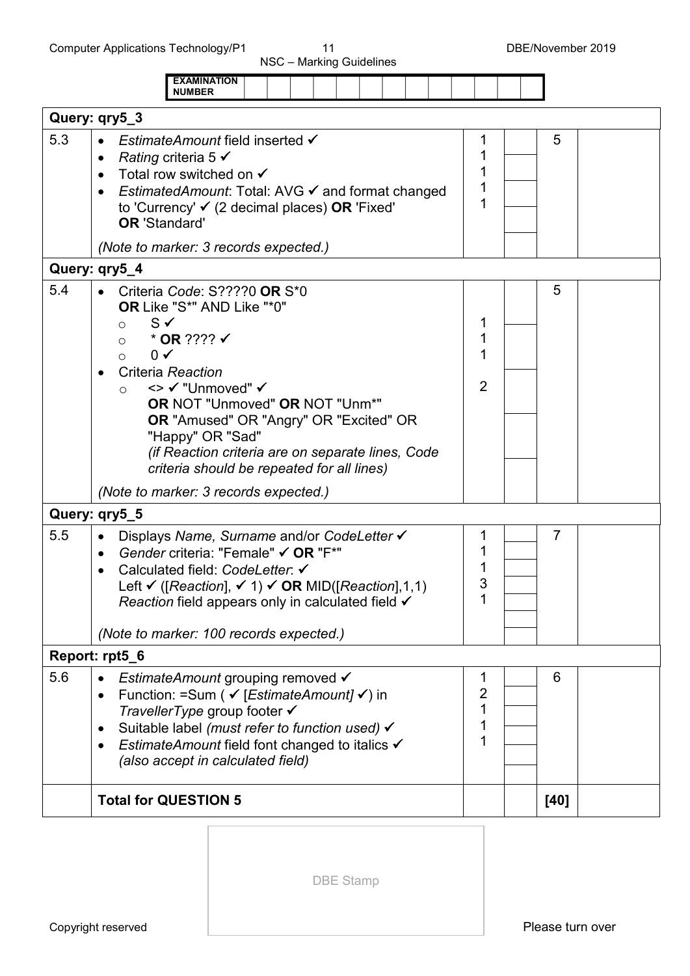|     | <b>EXAMINATION</b><br><b>NUMBER</b>                                                                                                                                                                                                                                                                                                                                                                                              |                          |
|-----|----------------------------------------------------------------------------------------------------------------------------------------------------------------------------------------------------------------------------------------------------------------------------------------------------------------------------------------------------------------------------------------------------------------------------------|--------------------------|
|     | Query: qry5_3                                                                                                                                                                                                                                                                                                                                                                                                                    |                          |
| 5.3 | <i>EstimateAmount</i> field inserted <del>V</del><br>Rating criteria 5 $\checkmark$<br>$\bullet$<br>Total row switched on $\checkmark$<br><i>EstimatedAmount:</i> Total: AVG <del>V</del> and format changed<br>to 'Currency' $\checkmark$ (2 decimal places) <b>OR</b> 'Fixed'<br><b>OR 'Standard'</b><br>(Note to marker: 3 records expected.)                                                                                 | 5                        |
|     | Query: qry5_4                                                                                                                                                                                                                                                                                                                                                                                                                    |                          |
| 5.4 | Criteria Code: S????0 OR S*0<br>OR Like "S*" AND Like "*0"<br>$S \checkmark$<br>$\circ$<br>$*$ OR ???? $\checkmark$<br>$\circ$<br>$0 \checkmark$<br>$\circ$<br>Criteria Reaction<br><> √ "Unmoved" √<br>$\circ$<br><b>OR NOT "Unmoved" OR NOT "Unm*"</b><br><b>OR</b> "Amused" OR "Angry" OR "Excited" OR<br>"Happy" OR "Sad"<br>(if Reaction criteria are on separate lines, Code<br>criteria should be repeated for all lines) | 5<br>2                   |
|     | (Note to marker: 3 records expected.)                                                                                                                                                                                                                                                                                                                                                                                            |                          |
|     | Query: qry5_5                                                                                                                                                                                                                                                                                                                                                                                                                    |                          |
| 5.5 | Displays Name, Surname and/or CodeLetter V<br>$\bullet$<br>Gender criteria: "Female" √ OR "F*"<br>$\bullet$<br>Calculated field: CodeLetter: V<br>Left $\checkmark$ ([Reaction], $\checkmark$ 1) $\checkmark$ OR MID([Reaction],1,1)<br>Reaction field appears only in calculated field $\checkmark$<br>(Note to marker: 100 records expected.)                                                                                  | $\overline{7}$<br>3      |
|     | Report: rpt5_6                                                                                                                                                                                                                                                                                                                                                                                                                   |                          |
| 5.6 | <i>EstimateAmount</i> grouping removed √<br>Function: =Sum ( √ [EstimateAmount] √) in<br>٠<br>TravellerType group footer $\checkmark$<br>Suitable label (must refer to function used) √<br>$\bullet$<br><i>EstimateAmount</i> field font changed to italics √<br>٠<br>(also accept in calculated field)                                                                                                                          | 6<br>1<br>$\overline{2}$ |
|     | <b>Total for QUESTION 5</b>                                                                                                                                                                                                                                                                                                                                                                                                      | [40]                     |
|     |                                                                                                                                                                                                                                                                                                                                                                                                                                  |                          |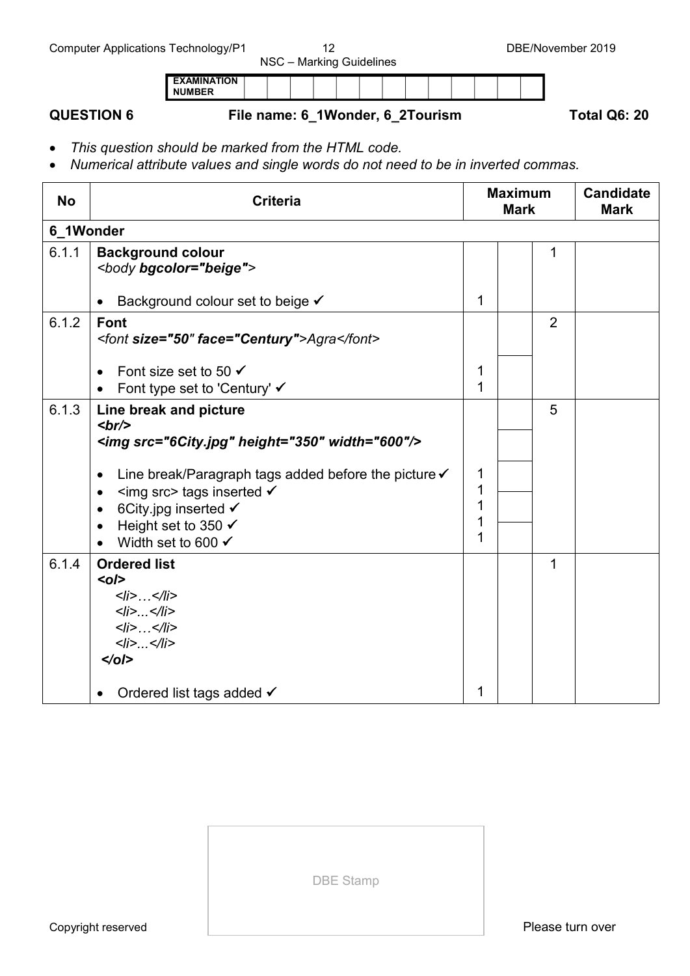# **QUESTION 6 File name: 6\_1Wonder, 6\_2Tourism Total Q6: 20**

• *This question should be marked from the HTML code.*

**EXAMINATION NUMBER**

• *Numerical attribute values and single words do not need to be in inverted commas.*

| <b>No</b> | <b>Criteria</b>                                                                                                                                                                                                                                                                                |        | <b>Maximum</b><br><b>Mark</b> | <b>Candidate</b><br><b>Mark</b> |  |  |  |  |  |  |  |
|-----------|------------------------------------------------------------------------------------------------------------------------------------------------------------------------------------------------------------------------------------------------------------------------------------------------|--------|-------------------------------|---------------------------------|--|--|--|--|--|--|--|
| 6 1Wonder |                                                                                                                                                                                                                                                                                                |        |                               |                                 |  |  |  |  |  |  |  |
| 6.1.1     | <b>Background colour</b><br><body bgcolor="beige"></body>                                                                                                                                                                                                                                      |        |                               | 1                               |  |  |  |  |  |  |  |
|           | Background colour set to beige V<br>$\bullet$                                                                                                                                                                                                                                                  | 1      |                               |                                 |  |  |  |  |  |  |  |
| 6.1.2     | <b>Font</b><br><font face="Century" size="50">Agra</font>                                                                                                                                                                                                                                      |        |                               | $\overline{2}$                  |  |  |  |  |  |  |  |
|           | Font size set to 50 $\checkmark$<br>Font type set to 'Century' ✔                                                                                                                                                                                                                               | 1<br>1 |                               |                                 |  |  |  |  |  |  |  |
| 6.1.3     | Line break and picture<br>br><br><img height="350" src="6City.jpg" width="600"/><br>Line break/Paragraph tags added before the picture √<br>$\bullet$<br><img src=""/> tags inserted √<br>$\bullet$<br>6City jpg inserted $\checkmark$<br>Height set to 350 √<br>Width set to 600 $\checkmark$ | 1<br>1 |                               | 5                               |  |  |  |  |  |  |  |
| 6.1.4     | <b>Ordered list</b><br>$o$ /><br>$<$ //> $\ldots$ $<$ ///><br>< i>< i><br>< i >  < i ><br>$<$ /i> $<$ /li><br>$\le$ /0/><br>Ordered list tags added √                                                                                                                                          | 1      |                               | 1                               |  |  |  |  |  |  |  |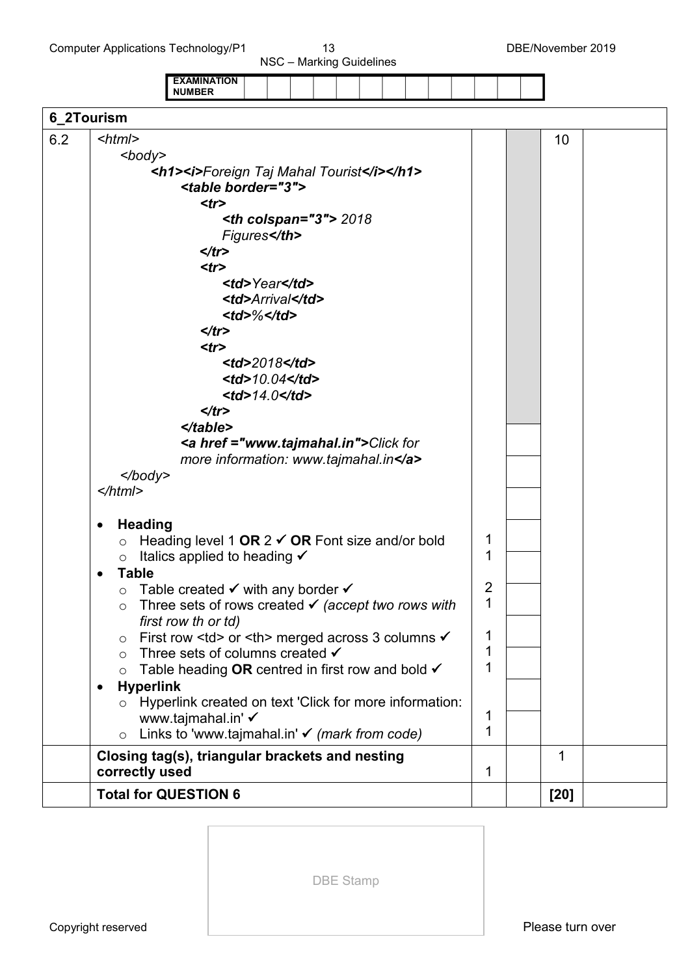Computer Applications Technology/P1 13 13 DBE/November 2019

NSC – Marking Guidelines

|            |                                                                                                                                                                                                                                                                                             | <b>EXAMINATION</b><br><b>NUMBER</b>                                                                                                                                                                                                                                                                                                                                                                                                                                                                                                                                                                                                                                                                                                   |                                                                                                                                                                                                                                        |                                                                                                                                                                                                  |         |      |       |  |        |  |             |  |                  |  |    |  |
|------------|---------------------------------------------------------------------------------------------------------------------------------------------------------------------------------------------------------------------------------------------------------------------------------------------|---------------------------------------------------------------------------------------------------------------------------------------------------------------------------------------------------------------------------------------------------------------------------------------------------------------------------------------------------------------------------------------------------------------------------------------------------------------------------------------------------------------------------------------------------------------------------------------------------------------------------------------------------------------------------------------------------------------------------------------|----------------------------------------------------------------------------------------------------------------------------------------------------------------------------------------------------------------------------------------|--------------------------------------------------------------------------------------------------------------------------------------------------------------------------------------------------|---------|------|-------|--|--------|--|-------------|--|------------------|--|----|--|
| 6_2Tourism |                                                                                                                                                                                                                                                                                             |                                                                                                                                                                                                                                                                                                                                                                                                                                                                                                                                                                                                                                                                                                                                       |                                                                                                                                                                                                                                        |                                                                                                                                                                                                  |         |      |       |  |        |  |             |  |                  |  |    |  |
| 6.2        | $\leq$ html $>$<br><body><br/><math>&lt;</math>/body&gt;<br/><math>&lt;</math>/html&gt;<br/><b>Heading</b><br/><math display="inline">\bullet</math><br/><math display="inline">\circ</math><br/><math>\circ</math><br/><b>Table</b><br/><math>\bullet</math><br/><math>\circ</math></body> | <h1><i>Foreign Taj Mahal Tourist</i></h1><br><table border="3"><br/><math>&lt;</math>tr<math>&gt;</math><br/><math>\langle tr \rangle</math><br/><math>&lt;</math>tr<math>&gt;</math><br/><math>\langle tr \rangle</math><br/><math>&lt;</math>tr<math>&gt;</math><br/><math>\langle tr \rangle</math><br/><math>\triangle</math>/table&gt;<br/><a href="www.tajmahal.in">Click for<br/>more information: www.tajmahal.in</a><br/>Heading level 1 OR <math>2 \checkmark</math> OR Font size and/or bold<br/>Italics applied to heading <math>\checkmark</math><br/>Table created <math>\checkmark</math> with any border <math>\checkmark</math><br/>Three sets of rows created <math>\checkmark</math> (accept two rows with</table> | $th colspan$<br>Figures                                                                                                                                                                                                                | Year                                                                                                                                                                                             | Arrival | 2018 | 10.04 |  |        |  |             |  | 1<br>1<br>2<br>1 |  | 10 |  |
|            | $\circ$<br>$\circ$<br>$\circ$<br><b>Hyperlink</b><br>٠                                                                                                                                                                                                                                      | first row th or td)<br>First row <td> or <th> merged across 3 columns √<br/>Three sets of columns created <math>\checkmark</math><br/>Table heading OR centred in first row and bold <math>\checkmark</math><br/>Hyperlink created on text 'Click for more information:</th></td> <th></th> <td></td> <td></td> <td></td> <td></td> <td></td> <td>1<br/>1<br/>1</td> <td></td> <td></td> <td></td>                                                                                                                                                                                                                                                                                                                                    | or <th> merged across 3 columns √<br/>Three sets of columns created <math>\checkmark</math><br/>Table heading OR centred in first row and bold <math>\checkmark</math><br/>Hyperlink created on text 'Click for more information:</th> | merged across 3 columns √<br>Three sets of columns created $\checkmark$<br>Table heading OR centred in first row and bold $\checkmark$<br>Hyperlink created on text 'Click for more information: |         |      |       |  |        |  | 1<br>1<br>1 |  |                  |  |    |  |
|            | $\circ$<br>$\circ$                                                                                                                                                                                                                                                                          | www.tajmahal.in' ✔<br>Links to 'www.tajmahal.in' $\checkmark$ (mark from code)                                                                                                                                                                                                                                                                                                                                                                                                                                                                                                                                                                                                                                                        |                                                                                                                                                                                                                                        |                                                                                                                                                                                                  |         |      |       |  | 1<br>1 |  |             |  |                  |  |    |  |
|            | correctly used                                                                                                                                                                                                                                                                              | Closing tag(s), triangular brackets and nesting                                                                                                                                                                                                                                                                                                                                                                                                                                                                                                                                                                                                                                                                                       |                                                                                                                                                                                                                                        |                                                                                                                                                                                                  |         |      |       |  | 1      |  | $\mathbf 1$ |  |                  |  |    |  |
|            |                                                                                                                                                                                                                                                                                             | <b>Total for QUESTION 6</b>                                                                                                                                                                                                                                                                                                                                                                                                                                                                                                                                                                                                                                                                                                           |                                                                                                                                                                                                                                        |                                                                                                                                                                                                  |         |      |       |  |        |  | [20]        |  |                  |  |    |  |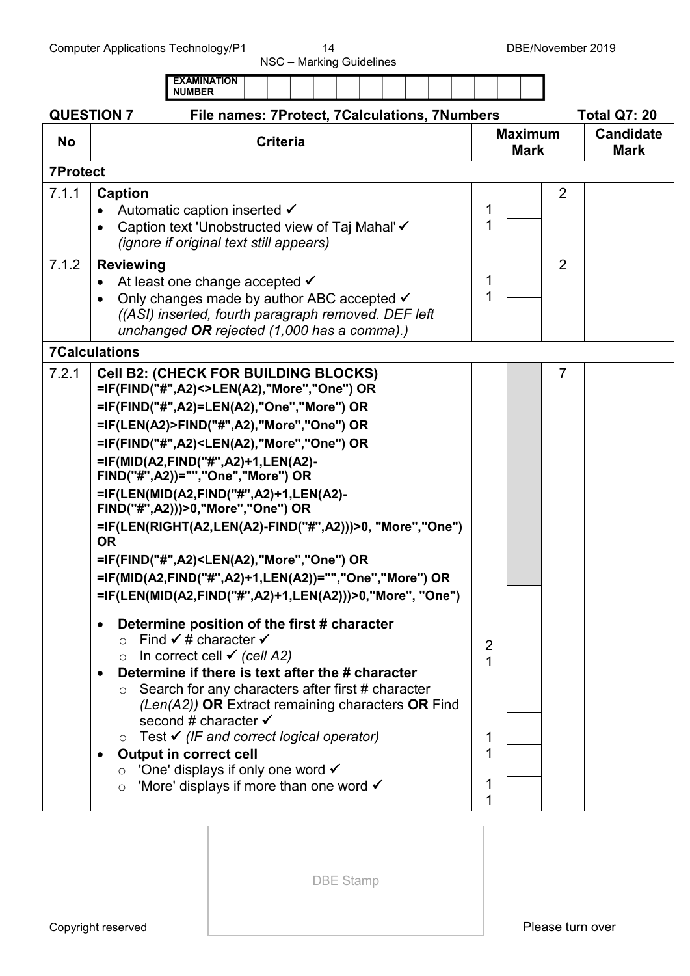NSC – Marking Guidelines

|                   | <b>EXAMINATION</b><br><b>NUMBER</b>                                                                                                                                                                                                                                                                                                                                                                                                                                                                                                                                                                                                                                                                            |                            |                               |                |                                 |
|-------------------|----------------------------------------------------------------------------------------------------------------------------------------------------------------------------------------------------------------------------------------------------------------------------------------------------------------------------------------------------------------------------------------------------------------------------------------------------------------------------------------------------------------------------------------------------------------------------------------------------------------------------------------------------------------------------------------------------------------|----------------------------|-------------------------------|----------------|---------------------------------|
| <b>QUESTION 7</b> |                                                                                                                                                                                                                                                                                                                                                                                                                                                                                                                                                                                                                                                                                                                | <b>Total Q7: 20</b>        |                               |                |                                 |
| <b>No</b>         | <b>Criteria</b>                                                                                                                                                                                                                                                                                                                                                                                                                                                                                                                                                                                                                                                                                                |                            | <b>Maximum</b><br><b>Mark</b> |                | <b>Candidate</b><br><b>Mark</b> |
| <b>7Protect</b>   |                                                                                                                                                                                                                                                                                                                                                                                                                                                                                                                                                                                                                                                                                                                |                            |                               |                |                                 |
| 7.1.1             | <b>Caption</b><br>Automatic caption inserted <del>V</del><br>Caption text 'Unobstructed view of Taj Mahal' ✔<br>$\bullet$<br><i>(ignore if original text still appears)</i>                                                                                                                                                                                                                                                                                                                                                                                                                                                                                                                                    | 1<br>1                     |                               | 2              |                                 |
| 7.1.2             | <b>Reviewing</b><br>At least one change accepted $\checkmark$<br>$\bullet$<br>Only changes made by author ABC accepted √<br>((ASI) inserted, fourth paragraph removed. DEF left<br>unchanged OR rejected (1,000 has a comma).)                                                                                                                                                                                                                                                                                                                                                                                                                                                                                 | 1<br>1                     |                               | $\overline{2}$ |                                 |
|                   | <b>7Calculations</b>                                                                                                                                                                                                                                                                                                                                                                                                                                                                                                                                                                                                                                                                                           |                            |                               |                |                                 |
| 7.2.1             | <b>Cell B2: (CHECK FOR BUILDING BLOCKS)</b><br>=IF(FIND("#",A2)<>LEN(A2),"More","One") OR<br>=IF(FIND("#",A2)=LEN(A2),"One","More") OR<br>=IF(LEN(A2)>FIND("#",A2),"More","One") OR<br>=IF(FIND("#",A2) <len(a2),"more","one") or<br="">=IF(MID(A2,FIND("#",A2)+1,LEN(A2)-<br/>FIND("#",A2))="","One","More") OR<br/>=IF(LEN(MID(A2,FIND("#",A2)+1,LEN(A2)-<br/>FIND("#",A2)))&gt;0,"More","One") OR<br/>=IF(LEN(RIGHT(A2,LEN(A2)-FIND("#",A2)))&gt;0, "More", "One")<br/><b>OR</b><br/>=IF(FIND("#",A2)<len(a2),"more","one") or<br="">=IF(MID(A2,FIND("#",A2)+1,LEN(A2))="","One","More") OR<br/>=IF(LEN(MID(A2,FIND("#",A2)+1,LEN(A2)))&gt;0,"More", "One")</len(a2),"more","one")></len(a2),"more","one")> |                            |                               | $\overline{7}$ |                                 |
|                   | Determine position of the first # character<br>$\bullet$<br>○ Find $\checkmark$ # character $\checkmark$<br>In correct cell $\checkmark$ (cell A2)<br>Determine if there is text after the # character<br>$\bullet$<br>Search for any characters after first # character<br>$\circ$<br>$(Len(A2))$ OR Extract remaining characters OR Find<br>second # character ✔<br>$\circ$ Test $\checkmark$ (IF and correct logical operator)<br><b>Output in correct cell</b><br>٠<br>$\circ$ 'One' displays if only one word $\checkmark$<br>'More' displays if more than one word $\checkmark$<br>$\circ$                                                                                                               | 2<br>1<br>1<br>1<br>1<br>1 |                               |                |                                 |